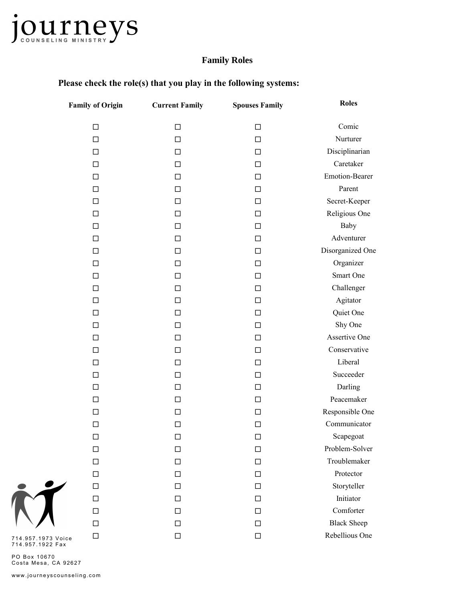

## **Family Roles**

| <b>Family of Origin</b> | <b>Current Family</b> | <b>Spouses Family</b> | <b>Roles</b>          |
|-------------------------|-----------------------|-----------------------|-----------------------|
| $\Box$                  | $\Box$                | □                     | Comic                 |
| $\Box$                  | $\Box$                | $\Box$                | Nurturer              |
| $\Box$                  | $\Box$                | $\Box$                | Disciplinarian        |
| $\Box$                  | $\Box$                | П                     | Caretaker             |
| $\Box$                  | $\Box$                | □                     | <b>Emotion-Bearer</b> |
| $\Box$                  | $\Box$                | $\Box$                | Parent                |
| $\Box$                  | □                     | $\Box$                | Secret-Keeper         |
| □                       | $\Box$                | П                     | Religious One         |
| $\Box$                  | $\Box$                | □                     | Baby                  |
| $\Box$                  | $\Box$                | $\Box$                | Adventurer            |
| $\Box$                  | □                     | П                     | Disorganized One      |
| $\Box$                  | $\Box$                | □                     | Organizer             |
| $\Box$                  | $\Box$                | $\Box$                | Smart One             |
| $\Box$                  | □                     | □                     | Challenger            |
| $\Box$                  | $\Box$                | П                     | Agitator              |
| $\Box$                  | $\Box$                | П                     | Quiet One             |
| $\Box$                  | $\Box$                | $\Box$                | Shy One               |
| $\Box$                  | □                     | □                     | Assertive One         |
| $\Box$                  | $\Box$                | □                     | Conservative          |
| $\Box$                  | $\Box$                | $\Box$                | Liberal               |
| $\Box$                  | □                     | □                     | Succeeder             |
| $\Box$                  | □                     | П                     | Darling               |
| $\Box$                  | $\Box$                | П                     | Peacemaker            |
| $\Box$                  | $\Box$                | □                     | Responsible One       |
| $\Box$                  | □                     | □                     | Communicator          |
| $\Box$                  | $\Box$                | $\Box$                | Scapegoat             |
| $\Box$                  | □                     | □                     | Problem-Solver        |
| $\Box$                  | □                     | П                     | Troublemaker          |
| $\Box$                  | □                     | ΙI                    | Protector             |
| $\Box$                  | □                     | П                     | Storyteller           |
| $\Box$                  | □                     | $\mathsf{L}$          | Initiator             |
| $\Box$                  | □                     | ΙI                    | Comforter             |
| $\Box$                  | □                     | □                     | <b>Black Sheep</b>    |
| □<br>ice                | □                     | П                     | Rebellious One        |

## **Please check the role(s) that you play in the following systems:**

7 1 4 .9 5 7 .1 9 7 3 V oi c e 7 1 4 .9 5 7 .1 9 2 2 F a x